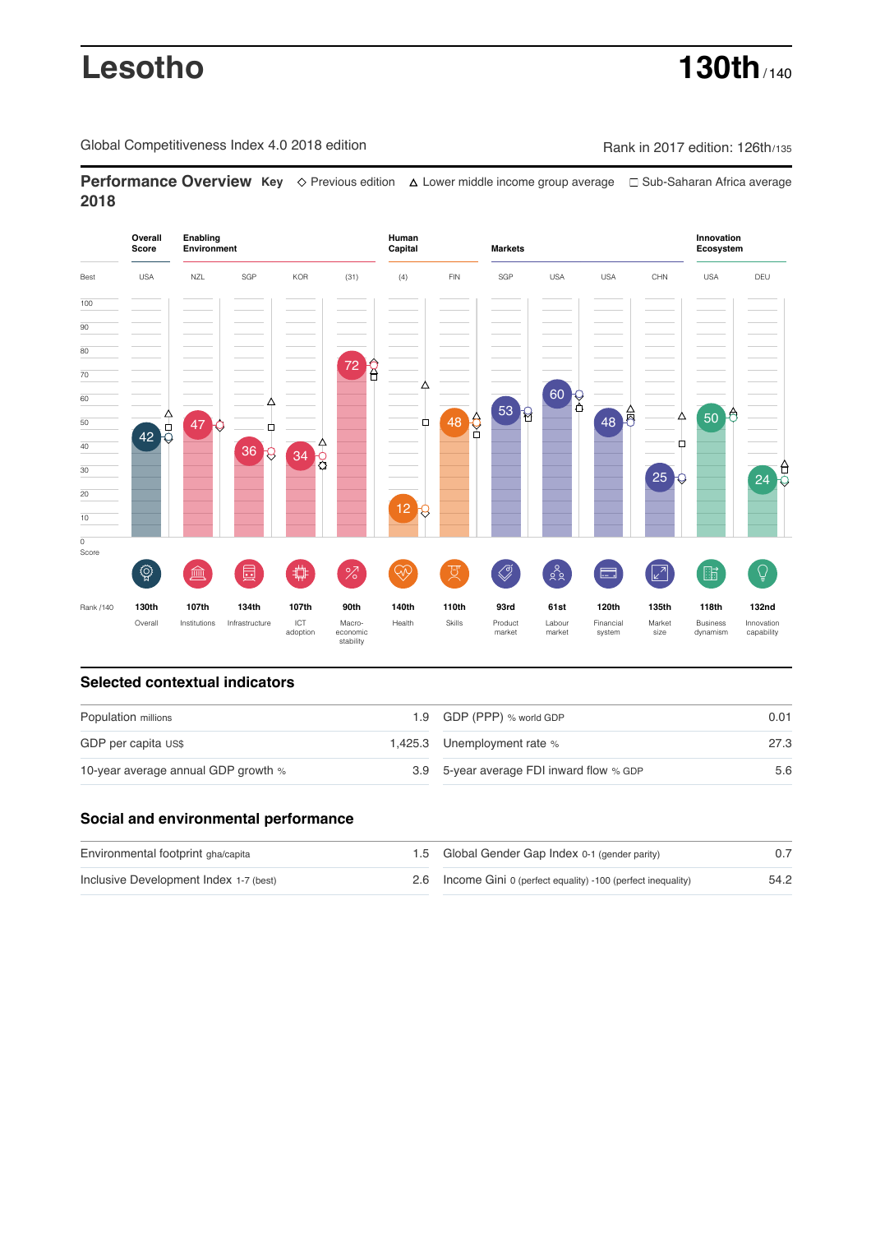# **Lesotho 130th**

Global Competitiveness Index 4.0 2018 edition Company Rank in 2017 edition: 126th/135

**Performance Overview Key** Previous edition Lower middle income group average Sub-Saharan Africa average **2018**



# **Selected contextual indicators**

| Population millions                 |  | 1.9 GDP (PPP) % world GDP                | 0.01 |
|-------------------------------------|--|------------------------------------------|------|
| GDP per capita US\$                 |  | 1,425.3 Unemployment rate %              | 27.3 |
| 10-year average annual GDP growth % |  | 3.9 5-year average FDI inward flow % GDP | 5.6  |

# **Social and environmental performance**

| Environmental footprint gha/capita     | 1.5 Global Gender Gap Index 0-1 (gender parity)                |      |
|----------------------------------------|----------------------------------------------------------------|------|
| Inclusive Development Index 1-7 (best) | 2.6 Income Gini 0 (perfect equality) -100 (perfect inequality) | 54.2 |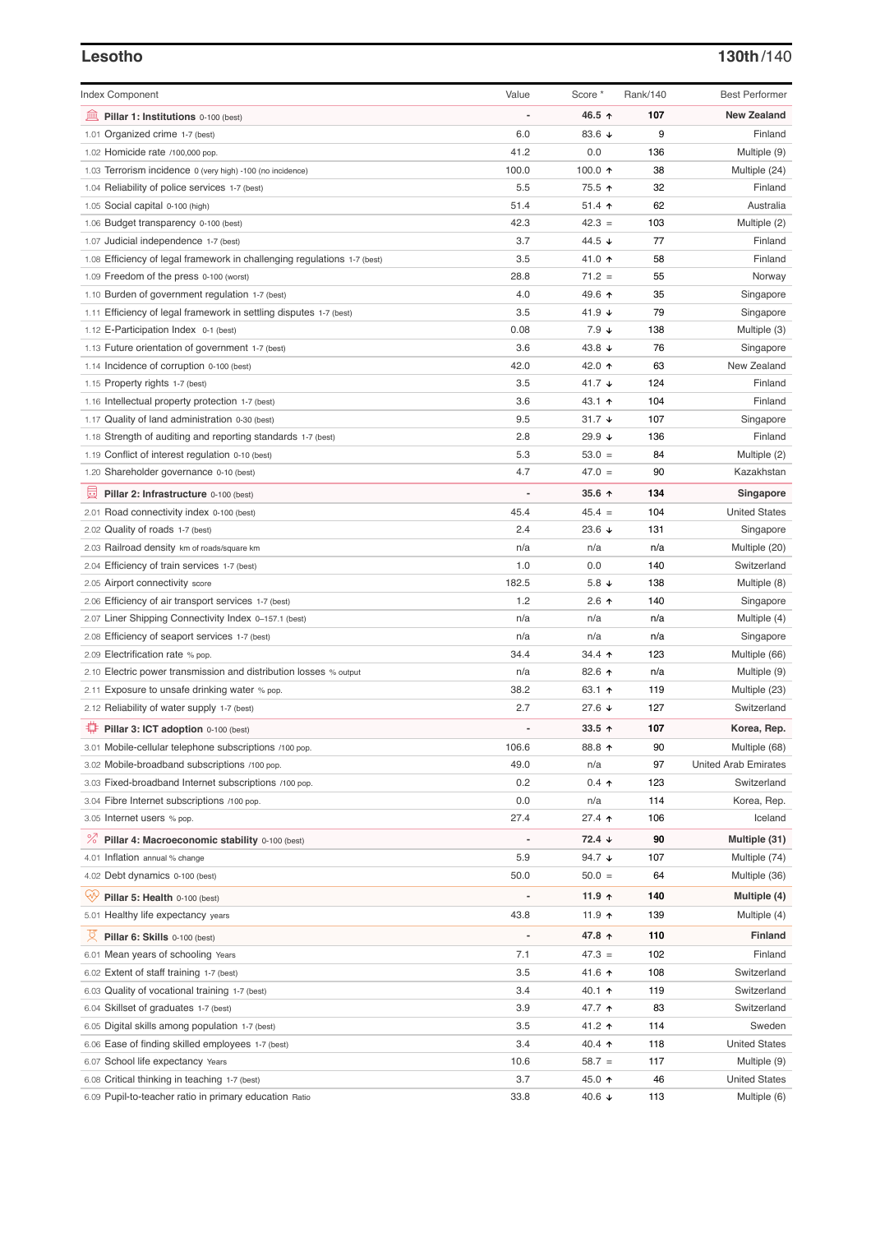### **Lesotho 130th**/140

| <b>Index Component</b>                                                   | Value                        | Score *              | Rank/140 | <b>Best Performer</b>       |
|--------------------------------------------------------------------------|------------------------------|----------------------|----------|-----------------------------|
| 寙<br>Pillar 1: Institutions 0-100 (best)                                 |                              | 46.5 ↑               | 107      | <b>New Zealand</b>          |
| 1.01 Organized crime 1-7 (best)                                          | 6.0                          | 83.6 $\sqrt{ }$      | 9        | Finland                     |
| 1.02 Homicide rate /100,000 pop.                                         | 41.2                         | 0.0                  | 136      | Multiple (9)                |
| 1.03 Terrorism incidence 0 (very high) -100 (no incidence)               | 100.0                        | 100.0 $\uparrow$     | 38       | Multiple (24)               |
| 1.04 Reliability of police services 1-7 (best)                           | 5.5                          | 75.5 ↑               | 32       | Finland                     |
| 1.05 Social capital 0-100 (high)                                         | 51.4                         | 51.4 $\uparrow$      | 62       | Australia                   |
| 1.06 Budget transparency 0-100 (best)                                    | 42.3                         | $42.3 =$             | 103      | Multiple (2)                |
| 1.07 Judicial independence 1-7 (best)                                    | 3.7                          | 44.5 ↓               | 77       | Finland                     |
| 1.08 Efficiency of legal framework in challenging regulations 1-7 (best) | 3.5                          | 41.0 ↑               | 58       | Finland                     |
| 1.09 Freedom of the press 0-100 (worst)                                  | 28.8                         | $71.2 =$             | 55       | Norway                      |
| 1.10 Burden of government regulation 1-7 (best)                          | 4.0                          | 49.6 ↑               | 35       | Singapore                   |
| 1.11 Efficiency of legal framework in settling disputes 1-7 (best)       | 3.5                          | 41.9 $\sqrt{ }$      | 79       | Singapore                   |
| 1.12 E-Participation Index 0-1 (best)                                    | 0.08                         | $7.9 \downarrow$     | 138      | Multiple (3)                |
| 1.13 Future orientation of government 1-7 (best)                         | 3.6                          | 43.8 $\downarrow$    | 76       | Singapore                   |
| 1.14 Incidence of corruption 0-100 (best)                                | 42.0                         | 42.0 ↑               | 63       | New Zealand                 |
| 1.15 Property rights 1-7 (best)                                          | 3.5                          | 41.7 $\sqrt{ }$      | 124      | Finland                     |
| 1.16 Intellectual property protection 1-7 (best)                         | 3.6                          | 43.1 $\uparrow$      | 104      | Finland                     |
| 1.17 Quality of land administration 0-30 (best)                          | 9.5                          | 31.7 $\sqrt{ }$      | 107      | Singapore                   |
| 1.18 Strength of auditing and reporting standards 1-7 (best)             | 2.8                          | 29.9 $\sqrt{ }$      | 136      | Finland                     |
| 1.19 Conflict of interest regulation 0-10 (best)                         | 5.3                          | $53.0 =$             | 84       | Multiple (2)                |
| 1.20 Shareholder governance 0-10 (best)                                  | 4.7                          | $47.0 =$             | 90       | Kazakhstan                  |
| 囩                                                                        | $\qquad \qquad \blacksquare$ | $35.6$ ^             | 134      | Singapore                   |
| Pillar 2: Infrastructure 0-100 (best)                                    | 45.4                         | $45.4 =$             | 104      | <b>United States</b>        |
| 2.01 Road connectivity index 0-100 (best)                                | 2.4                          |                      |          |                             |
| 2.02 Quality of roads 1-7 (best)                                         |                              | 23.6 $\sqrt{ }$      | 131      | Singapore                   |
| 2.03 Railroad density km of roads/square km                              | n/a                          | n/a                  | n/a      | Multiple (20)               |
| 2.04 Efficiency of train services 1-7 (best)                             | 1.0                          | 0.0                  | 140      | Switzerland                 |
| 2.05 Airport connectivity score                                          | 182.5                        | 5.8 $\downarrow$     | 138      | Multiple (8)                |
| 2.06 Efficiency of air transport services 1-7 (best)                     | 1.2                          | $2.6$ ↑              | 140      | Singapore                   |
| 2.07 Liner Shipping Connectivity Index 0-157.1 (best)                    | n/a                          | n/a                  | n/a      | Multiple (4)                |
| 2.08 Efficiency of seaport services 1-7 (best)                           | n/a                          | n/a                  | n/a      | Singapore                   |
| 2.09 Electrification rate % pop.                                         | 34.4                         | 34.4 $\uparrow$      | 123      | Multiple (66)               |
| 2.10 Electric power transmission and distribution losses % output        | n/a                          | 82.6 ↑               | n/a      | Multiple (9)                |
| 2.11 Exposure to unsafe drinking water % pop.                            | 38.2                         | 63.1 $\uparrow$      | 119      | Multiple (23)               |
| 2.12 Reliability of water supply 1-7 (best)                              | 2.7                          | 27.6 $\sqrt{ }$      | 127      | Switzerland                 |
| ₩<br>Pillar 3: ICT adoption 0-100 (best)                                 |                              | 33.5 $\uparrow$      | 107      | Korea, Rep.                 |
| 3.01 Mobile-cellular telephone subscriptions /100 pop.                   | 106.6                        | 88.8 个               | 90       | Multiple (68)               |
| 3.02 Mobile-broadband subscriptions /100 pop.                            | 49.0                         | n/a                  | 97       | <b>United Arab Emirates</b> |
| 3.03 Fixed-broadband Internet subscriptions /100 pop.                    | 0.2                          | $0.4$ ↑              | 123      | Switzerland                 |
| 3.04 Fibre Internet subscriptions /100 pop.                              | 0.0                          | n/a                  | 114      | Korea, Rep.                 |
| 3.05 Internet users % pop.                                               | 27.4                         | 27.4 ተ               | 106      | Iceland                     |
| <sup>%</sup> Pillar 4: Macroeconomic stability 0-100 (best)              |                              | $72.4 \; \downarrow$ | 90       | Multiple (31)               |
| 4.01 Inflation annual % change                                           | 5.9                          | 94.7 $\sqrt{ }$      | 107      | Multiple (74)               |
| 4.02 Debt dynamics 0-100 (best)                                          | 50.0                         | $50.0 =$             | 64       | Multiple (36)               |
| ₩                                                                        |                              | 11.9 $\uparrow$      | 140      | Multiple (4)                |
| Pillar 5: Health 0-100 (best)                                            |                              |                      |          |                             |
| 5.01 Healthy life expectancy years                                       | 43.8                         | 11.9 $\uparrow$      | 139      | Multiple (4)                |
| 섯<br>Pillar 6: Skills 0-100 (best)                                       |                              | 47.8 ↑               | 110      | <b>Finland</b>              |
| 6.01 Mean years of schooling Years                                       | 7.1                          | $47.3 =$             | 102      | Finland                     |
| 6.02 Extent of staff training 1-7 (best)                                 | 3.5                          | 41.6 ↑               | 108      | Switzerland                 |
| 6.03 Quality of vocational training 1-7 (best)                           | 3.4                          | 40.1 ↑               | 119      | Switzerland                 |
| 6.04 Skillset of graduates 1-7 (best)                                    | 3.9                          | 47.7 ተ               | 83       | Switzerland                 |
| 6.05 Digital skills among population 1-7 (best)                          | 3.5                          | 41.2 ↑               | 114      | Sweden                      |
| 6.06 Ease of finding skilled employees 1-7 (best)                        | 3.4                          | 40.4 ↑               | 118      | <b>United States</b>        |
| 6.07 School life expectancy Years                                        | 10.6                         | $58.7 =$             | 117      | Multiple (9)                |
| 6.08 Critical thinking in teaching 1-7 (best)                            | 3.7                          | 45.0 ↑               | 46       | <b>United States</b>        |
| 6.09 Pupil-to-teacher ratio in primary education Ratio                   | 33.8                         | 40.6 $\sqrt{ }$      | 113      | Multiple (6)                |